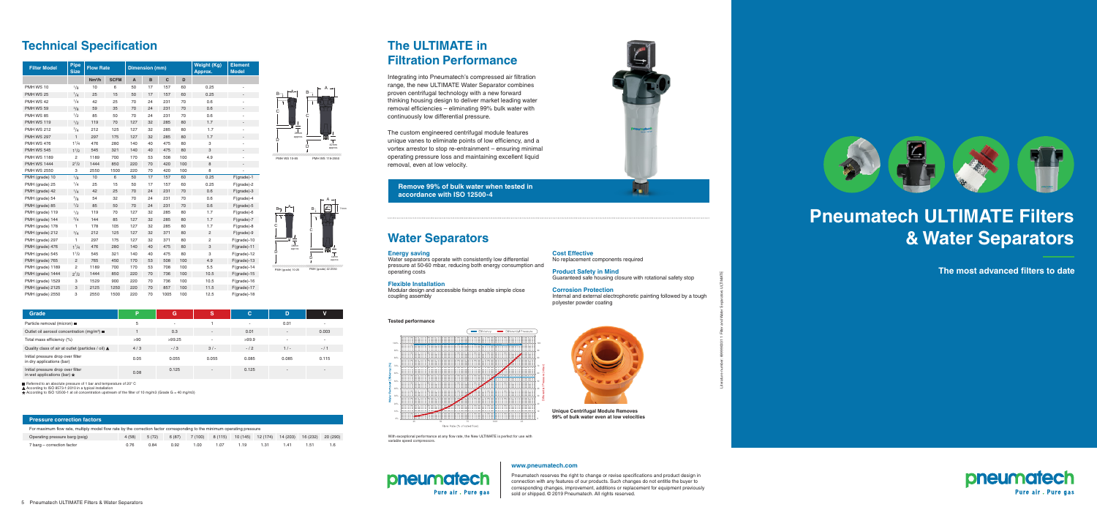| <b>Filter Model</b>     | <b>Pipe</b><br><b>Size</b> | <b>Flow Rate</b>   |             | <b>Dimension (mm)</b> |    |      |     | <b>Weight (Kg)</b><br>Approx. | <b>Element</b><br><b>Model</b> |  |
|-------------------------|----------------------------|--------------------|-------------|-----------------------|----|------|-----|-------------------------------|--------------------------------|--|
|                         |                            | Nm <sup>3</sup> /h | <b>SCFM</b> | A                     | B  | C    | D   |                               |                                |  |
| PMH WS 10               | $^{1}/8$                   | 10                 | 6           | 50                    | 17 | 157  | 60  | 0.25                          |                                |  |
| <b>PMH WS 25</b>        | 1/4                        | 25                 | 15          | 50                    | 17 | 157  | 60  | 0.25                          |                                |  |
| PMH WS 42               | 1/4                        | 42                 | 25          | 70                    | 24 | 231  | 70  | 0.6                           |                                |  |
| PMH WS 59               | $\frac{3}{8}$              | 59                 | 35          | 70                    | 24 | 231  | 70  | 0.6                           |                                |  |
| <b>PMH WS 85</b>        | 1/2                        | 85                 | 50          | 70                    | 24 | 231  | 70  | 0.6                           |                                |  |
| <b>PMH WS 119</b>       | 1/2                        | 119                | 70          | 127                   | 32 | 285  | 80  | 1.7                           |                                |  |
| <b>PMH WS 212</b>       | $^{3/4}$                   | 212                | 125         | 127                   | 32 | 285  | 80  | 1.7                           |                                |  |
| <b>PMH WS 297</b>       | $\mathbf{1}$               | 297                | 175         | 127                   | 32 | 285  | 80  | 1.7                           |                                |  |
| <b>PMH WS 476</b>       | $1^{1}/4$                  | 476                | 280         | 140                   | 40 | 475  | 80  | 3                             |                                |  |
| <b>PMH WS 545</b>       | $1^{1/2}$                  | 545                | 321         | 140                   | 40 | 475  | 80  | 3                             |                                |  |
| <b>PMH WS 1189</b>      | 2                          | 1189               | 700         | 170                   | 53 | 508  | 100 | 4.9                           | $\overline{a}$                 |  |
| <b>PMH WS 1444</b>      | $2^{1/2}$                  | 1444               | 850         | 220                   | 70 | 420  | 100 | 8                             |                                |  |
| <b>PMH WS 2550</b>      | 3                          | 2550               | 1500        | 220                   | 70 | 420  | 100 | 8                             |                                |  |
| PMH (grade) 10          | 1/8                        | 10                 | 6           | 50                    | 17 | 157  | 60  | 0.25                          | $F(\text{grade})-1$            |  |
| PMH (grade) 25          | 1/4                        | 25                 | 15          | 50                    | 17 | 157  | 60  | 0.25                          | $F(\text{grade})-2$            |  |
| PMH (grade) 42          | $^{1/4}$                   | 42                 | 25          | 70                    | 24 | 231  | 70  | 0.6                           | $F(\text{grade})-3$            |  |
| PMH (grade) 54          | $\frac{3}{8}$              | 54                 | 32          | 70                    | 24 | 231  | 70  | 0.6                           | $F(\text{grade})-4$            |  |
| PMH (grade) 85          | 1/2                        | 85                 | 50          | 70                    | 24 | 231  | 70  | 0.6                           | $F(\text{grade})-5$            |  |
| PMH (grade) 119         | 1/2                        | 119                | 70          | 127                   | 32 | 285  | 80  | 1.7                           | $F(\text{grade})-6$            |  |
| PMH (grade) 144         | $^{3}/4$                   | 144                | 85          | 127                   | 32 | 285  | 80  | 1.7                           | $F(\text{grade})-7$            |  |
| PMH (grade) 178         | 1                          | 178                | 105         | 127                   | 32 | 285  | 80  | 1.7                           | $F(\text{grade})-8$            |  |
| PMH (grade) 212         | $^{3}/4$                   | 212                | 125         | 127                   | 32 | 371  | 80  | $\mathbf{2}$                  | $F(\text{grade})-9$            |  |
| PMH (grade) 297         | 1                          | 297                | 175         | 127                   | 32 | 371  | 80  | $\overline{c}$                | $F(\text{grade})-10$           |  |
| PMH (grade) 476         | 1 <sup>1</sup> /4          | 476                | 280         | 140                   | 40 | 475  | 80  | 3                             | $F(\text{grade})-11$           |  |
| PMH (grade) 545         | $1^{1/2}$                  | 545                | 321         | 140                   | 40 | 475  | 80  | 3                             | $F(\text{grade})-12$           |  |
| PMH (grade) 765         | $\overline{c}$             | 765                | 450         | 170                   | 53 | 508  | 100 | 4.9                           | $F(\text{grade})-13$           |  |
| PMH (grade) 1189        | $\overline{2}$             | 1189               | 700         | 170                   | 53 | 708  | 100 | 5.5                           | $F(\text{grade})-14$           |  |
| PMH (grade) 1444        | $2^{1/2}$                  | 1444               | 850         | 220                   | 70 | 736  | 100 | 10.5                          | $F(\text{grade})-15$           |  |
| PMH (grade) 1529        | 3                          | 1529               | 900         | 220                   | 70 | 736  | 100 | 10.5                          | $F(\text{grade})-16$           |  |
| <b>PMH</b> (grade) 2125 | 3                          | 2125               | 1250        | 220                   | 70 | 857  | 100 | 11.5                          | $F(\text{grade})-17$           |  |
| <b>PMH</b> (grade) 2550 | 3                          | 2550               | 1500        | 220                   | 70 | 1005 | 100 | 12.5                          | $F(\text{grade})-18$           |  |

Pneumatech reserves the right to change or revise specifications and product design in connection with any features of our products. Such changes do not entitle the buyer to corresponding changes, improvement, additions or replacement for equipment previously sold or shipped. © 2019 Pneumatech. All rights reserved.



#### **Pressure correction factors**

| Grade                                                                  | Þ    | G      | 'S                       | C                        | D                        | v     |
|------------------------------------------------------------------------|------|--------|--------------------------|--------------------------|--------------------------|-------|
| Particle removal (micron) ■                                            | 5    |        |                          | $\overline{\phantom{0}}$ | 0.01                     |       |
| Outlet oil aerosol concentration (mg/m <sup>3</sup> ) ■                |      | 0.3    | $\overline{\phantom{a}}$ | 0.01                     | $\overline{\phantom{a}}$ | 0.003 |
| Total mass efficiency (%)                                              | >90  | >99.25 | $\overline{a}$           | >99.9                    | $\overline{\phantom{a}}$ |       |
| Quality class of air at outlet (particles / oil) ▲                     | 4/3  | $-13$  | $3/-$                    | $-12$                    | 1/                       | $-11$ |
| Initial pressure drop over filter<br>in dry applications (bar)         | 0.05 | 0.055  | 0.055                    | 0.085                    | 0.085                    | 0.115 |
| Initial pressure drop over filter<br>in wet applications (bar) $\star$ | 0.08 | 0.125  | $\overline{a}$           | 0.125                    | $\overline{\phantom{0}}$ |       |

Referred to an absolute pressure of 1 bar and temperature of  $20^{\circ}$  C.

■ Helened to all absolute pressure of T bat and temperature and the state of T bat and temperature.

 $\star$  According to ISO 12500-1 at oil concentration upstream of the filter of 10 mg/m3 (Grade G = 40 mg/m3)

| For maximum flow rate, multiply model flow rate by the correction factor corresponding to the minimum operating pressure |       |       |        |      |      |                                            |  |      |          |          |
|--------------------------------------------------------------------------------------------------------------------------|-------|-------|--------|------|------|--------------------------------------------|--|------|----------|----------|
| Operating pressure barg (psig)                                                                                           | 4(58) | 5(72) | 6 (87) |      |      | 7 (100) 8 (115) 10 (145) 12 (174) 14 (203) |  |      | 16 (232) | 20 (290) |
| 7 barg – correction factor                                                                                               | 0.76  | 0.84  | 0.92   | 1.00 | 1.07 | 1.19                                       |  | 1.41 | 1.51     |          |

With exceptional performance at any flow rate, the New ULTIMATE is perfect for use with variable speed compre

## pneumatech Pure air. Pure gas





#### **Tested performance**



# **Pneumatech ULTIMATE Filters & Water Separators**

**The most advanced filters to date**

**www.pneumatech.com**

Literature number: 699990031 1 Filter and Water Separators ULTIMATE



## **The ULTIMATE in Filtration Performance**

## **Water Separators**

Integrating into Pneumatech's compressed air filtration range, the new ULTIMATE Water Separator combines proven centrifugal technology with a new forward thinking housing design to deliver market leading water removal efficiencies – eliminating 99% bulk water with continuously low differential pressure.

The custom engineered centrifugal module features unique vanes to eliminate points of low efficiency, and a vortex arrestor to stop re-entrainment – ensuring minimal operating pressure loss and maintaining excellent liquid removal, even at low velocity.

#### **Energy saving**

Water separators operate with consistently low differential pressure at 50-60 mbar, reducing both energy consumption and operating costs

#### **Flexible Installation**

Modular design and accessible fixings enable simple close coupling assembly

**Cost Effective** No replacement components required

**Product Safety in Mind**

Guaranteed safe housing closure with rotational safety stop

**Corrosion Protection**  Internal and external electrophoretic painting followed by a tough polyester powder coating



**Unique Centrifugal Module Removes 99% of bulk water even at low velocities**



**Remove 99% of bulk water when tested in accordance with ISO 12500-4**



# **Technical Specification**